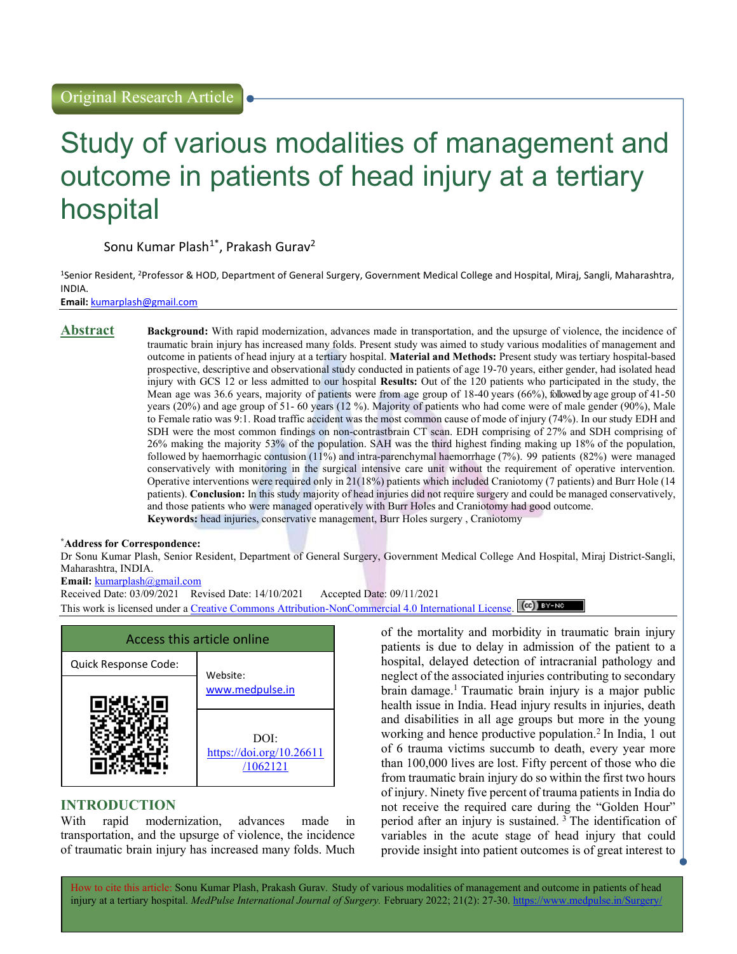# Study of various modalities of management and outcome in patients of head injury at a tertiary hospital

Sonu Kumar Plash<sup>1\*</sup>, Prakash Gurav<sup>2</sup>

<sup>1</sup>Senior Resident, <sup>2</sup>Professor & HOD, Department of General Surgery, Government Medical College and Hospital, Miraj, Sangli, Maharashtra, INDIA.

Email: kumarplash@gmail.com

#### Abstract Background: With rapid modernization, advances made in transportation, and the upsurge of violence, the incidence of traumatic brain injury has increased many folds. Present study was aimed to study various modalities of management and outcome in patients of head injury at a tertiary hospital. Material and Methods: Present study was tertiary hospital-based prospective, descriptive and observational study conducted in patients of age 19-70 years, either gender, had isolated head injury with GCS 12 or less admitted to our hospital Results: Out of the 120 patients who participated in the study, the Mean age was 36.6 years, majority of patients were from age group of 18-40 years (66%), followed by age group of 41-50 years (20%) and age group of 51- 60 years (12 %). Majority of patients who had come were of male gender (90%), Male to Female ratio was 9:1. Road traffic accident was the most common cause of mode of injury (74%). In our study EDH and SDH were the most common findings on non-contrastbrain CT scan. EDH comprising of 27% and SDH comprising of 26% making the majority 53% of the population. SAH was the third highest finding making up 18% of the population, followed by haemorrhagic contusion (11%) and intra-parenchymal haemorrhage (7%). 99 patients (82%) were managed conservatively with monitoring in the surgical intensive care unit without the requirement of operative intervention. Operative interventions were required only in 21(18%) patients which included Craniotomy (7 patients) and Burr Hole (14 patients). Conclusion: In this study majority of head injuries did not require surgery and could be managed conservatively, and those patients who were managed operatively with Burr Holes and Craniotomy had good outcome. Keywords: head injuries, conservative management, Burr Holes surgery , Craniotomy

#### \*Address for Correspondence:

Dr Sonu Kumar Plash, Senior Resident, Department of General Surgery, Government Medical College And Hospital, Miraj District-Sangli, Maharashtra, INDIA.

## Email: kumarplash@gmail.com

Received Date: 03/09/2021 Revised Date: 14/10/2021 Accepted Date: 09/11/2021

This work is licensed under a Creative Commons Attribution-NonCommercial 4.0 International License. [CC] BY-NO



## INTRODUCTION

With rapid modernization, advances made in transportation, and the upsurge of violence, the incidence of traumatic brain injury has increased many folds. Much of the mortality and morbidity in traumatic brain injury patients is due to delay in admission of the patient to a hospital, delayed detection of intracranial pathology and neglect of the associated injuries contributing to secondary brain damage.<sup>1</sup> Traumatic brain injury is a major public health issue in India. Head injury results in injuries, death and disabilities in all age groups but more in the young working and hence productive population.<sup>2</sup> In India, 1 out of 6 trauma victims succumb to death, every year more than 100,000 lives are lost. Fifty percent of those who die from traumatic brain injury do so within the first two hours of injury. Ninety five percent of trauma patients in India do not receive the required care during the "Golden Hour" period after an injury is sustained.<sup>3</sup> The identification of variables in the acute stage of head injury that could provide insight into patient outcomes is of great interest to

How to cite this article: Sonu Kumar Plash, Prakash Gurav. Study of various modalities of management and outcome in patients of head injury at a tertiary hospital. MedPulse International Journal of Surgery. February 2022; 21(2): 27-30. https://www.medpulse.in/Surgery/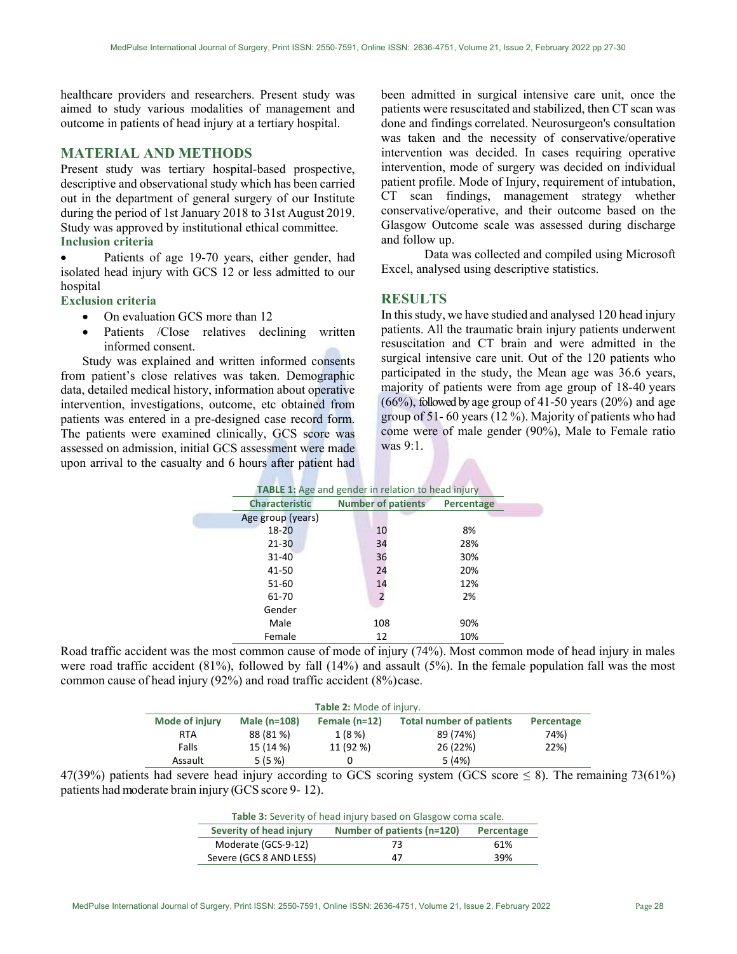healthcare providers and researchers. Present study was aimed to study various modalities of management and outcome in patients of head injury at a tertiary hospital.

## MATERIAL AND METHODS

Present study was tertiary hospital-based prospective, descriptive and observational study which has been carried out in the department of general surgery of our Institute during the period of 1st January 2018 to 31st August 2019. Study was approved by institutional ethical committee. Inclusion criteria

 Patients of age 19-70 years, either gender, had isolated head injury with GCS 12 or less admitted to our hospital

#### Exclusion criteria

- On evaluation GCS more than 12
- Patients /Close relatives declining written informed consent.

Study was explained and written informed consents from patient's close relatives was taken. Demographic data, detailed medical history, information about operative intervention, investigations, outcome, etc obtained from patients was entered in a pre-designed case record form. The patients were examined clinically, GCS score was assessed on admission, initial GCS assessment were made upon arrival to the casualty and 6 hours after patient had been admitted in surgical intensive care unit, once the patients were resuscitated and stabilized, then CT scan was done and findings correlated. Neurosurgeon's consultation was taken and the necessity of conservative/operative intervention was decided. In cases requiring operative intervention, mode of surgery was decided on individual patient profile. Mode of Injury, requirement of intubation, CT scan findings, management strategy whether conservative/operative, and their outcome based on the Glasgow Outcome scale was assessed during discharge and follow up.

Data was collected and compiled using Microsoft Excel, analysed using descriptive statistics.

#### RESULTS

In this study, we have studied and analysed 120 head injury patients. All the traumatic brain injury patients underwent resuscitation and CT brain and were admitted in the surgical intensive care unit. Out of the 120 patients who participated in the study, the Mean age was 36.6 years, majority of patients were from age group of 18-40 years  $(66%)$ , followed by age group of 41-50 years  $(20%)$  and age group of 51- 60 years (12 %). Majority of patients who had come were of male gender (90%), Male to Female ratio was 9:1.

|                       | <b>TABLE 1:</b> Age and gender in relation to head injury |            |  |
|-----------------------|-----------------------------------------------------------|------------|--|
| <b>Characteristic</b> | <b>Number of patients</b>                                 | Percentage |  |
| Age group (years)     |                                                           |            |  |
| $18 - 20$             | 10                                                        | 8%         |  |
| $21 - 30$             | 34                                                        | 28%        |  |
| 31-40                 | 36                                                        | 30%        |  |
| 41-50                 | 24                                                        | 20%        |  |
| 51-60                 | 14                                                        | 12%        |  |
| 61-70                 | $\overline{2}$                                            | 2%         |  |
| Gender                |                                                           |            |  |
| Male                  | 108                                                       | 90%        |  |
| Female                | 12                                                        | 10%        |  |

Road traffic accident was the most common cause of mode of injury (74%). Most common mode of head injury in males were road traffic accident (81%), followed by fall (14%) and assault (5%). In the female population fall was the most common cause of head injury (92%) and road traffic accident (8%) case.

|                | Table 2: Mode of injury. |                 |                                 |            |
|----------------|--------------------------|-----------------|---------------------------------|------------|
| Mode of injury | Male $(n=108)$           | Female $(n=12)$ | <b>Total number of patients</b> | Percentage |
| <b>RTA</b>     | 88 (81 %)                | 1 (8 %)         | 89 (74%)                        | 74%)       |
| Falls          | 15 (14 %)                | 11 (92 %)       | 26 (22%)                        | 22%)       |
| Assault        | 5(5%)                    |                 | 5 (4%)                          |            |

47(39%) patients had severe head injury according to GCS scoring system (GCS score  $\leq 8$ ). The remaining 73(61%) patients had moderate brain injury (GCS score 9- 12).

| <b>Table 3:</b> Severity of head injury based on Glasgow coma scale. |    |            |
|----------------------------------------------------------------------|----|------------|
| Number of patients (n=120)<br>Severity of head injury                |    | Percentage |
| Moderate (GCS-9-12)                                                  | 73 | 61%        |
| Severe (GCS 8 AND LESS)                                              | 47 | 39%        |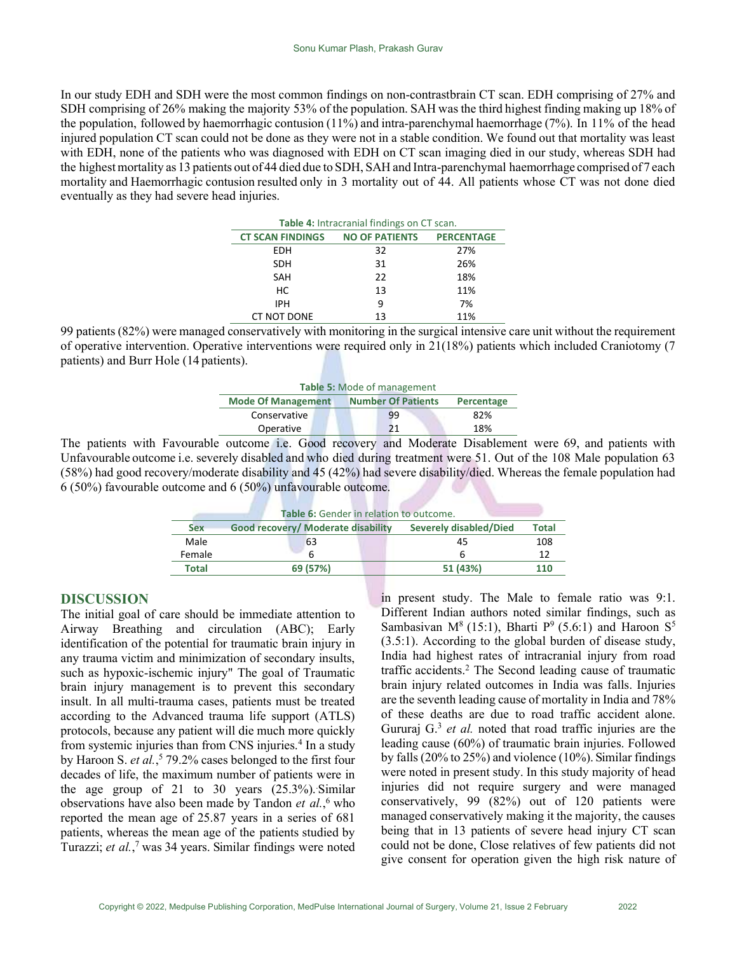In our study EDH and SDH were the most common findings on non-contrastbrain CT scan. EDH comprising of 27% and SDH comprising of 26% making the majority 53% of the population. SAH was the third highest finding making up 18% of the population, followed by haemorrhagic contusion (11%) and intra-parenchymal haemorrhage (7%). In 11% of the head injured population CT scan could not be done as they were not in a stable condition. We found out that mortality was least with EDH, none of the patients who was diagnosed with EDH on CT scan imaging died in our study, whereas SDH had the highest mortality as 13 patients out of 44 died due to SDH, SAH and Intra-parenchymal haemorrhage comprised of 7 each mortality and Haemorrhagic contusion resulted only in 3 mortality out of 44. All patients whose CT was not done died eventually as they had severe head injuries.

| Table 4: Intracranial findings on CT scan. |                       |                   |  |
|--------------------------------------------|-----------------------|-------------------|--|
| <b>CT SCAN FINDINGS</b>                    | <b>NO OF PATIENTS</b> | <b>PERCENTAGE</b> |  |
| EDH                                        | 32                    | 27%               |  |
| <b>SDH</b>                                 | 31                    | 26%               |  |
| <b>SAH</b>                                 | 22                    | 18%               |  |
| НC                                         | 13                    | 11%               |  |
| <b>IPH</b>                                 | q                     | 7%                |  |
| CT NOT DONE                                | 13                    | 11%               |  |

99 patients (82%) were managed conservatively with monitoring in the surgical intensive care unit without the requirement of operative intervention. Operative interventions were required only in 21(18%) patients which included Craniotomy (7 patients) and Burr Hole (14 patients).

| Table 5: Mode of management                            |    |            |  |
|--------------------------------------------------------|----|------------|--|
| <b>Mode Of Management</b><br><b>Number Of Patients</b> |    | Percentage |  |
| Conservative                                           | 99 | 82%        |  |
| Operative                                              |    | 18%        |  |

The patients with Favourable outcome i.e. Good recovery and Moderate Disablement were 69, and patients with Unfavourable outcome i.e. severely disabled and who died during treatment were 51. Out of the 108 Male population 63 (58%) had good recovery/moderate disability and 45 (42%) had severe disability/died. Whereas the female population had 6 (50%) favourable outcome and 6 (50%) unfavourable outcome.

| Table 6: Gender in relation to outcome. |                                    |                               |              |
|-----------------------------------------|------------------------------------|-------------------------------|--------------|
| <b>Sex</b>                              | Good recovery/ Moderate disability | <b>Severely disabled/Died</b> | <b>Total</b> |
| Male                                    | 63                                 | 45                            | 108          |
| Female                                  |                                    |                               | 12           |
| <b>Total</b>                            | 69 (57%)                           | 51 (43%)                      | 110          |

#### DISCUSSION

The initial goal of care should be immediate attention to Airway Breathing and circulation (ABC); Early identification of the potential for traumatic brain injury in any trauma victim and minimization of secondary insults, such as hypoxic-ischemic injury" The goal of Traumatic brain injury management is to prevent this secondary insult. In all multi-trauma cases, patients must be treated according to the Advanced trauma life support (ATLS) protocols, because any patient will die much more quickly from systemic injuries than from CNS injuries.<sup>4</sup> In a study by Haroon S. et al.,<sup>5</sup> 79.2% cases belonged to the first four decades of life, the maximum number of patients were in the age group of 21 to 30 years  $(25.3\%)$ . Similar observations have also been made by Tandon et al.,<sup>6</sup> who reported the mean age of 25.87 years in a series of 681 patients, whereas the mean age of the patients studied by Turazzi; et al.,<sup>7</sup> was 34 years. Similar findings were noted in present study. The Male to female ratio was 9:1. Different Indian authors noted similar findings, such as Sambasivan M<sup>8</sup> (15:1), Bharti P<sup>9</sup> (5.6:1) and Haroon S<sup>5</sup> (3.5:1). According to the global burden of disease study, India had highest rates of intracranial injury from road traffic accidents.<sup>2</sup> The Second leading cause of traumatic brain injury related outcomes in India was falls. Injuries are the seventh leading cause of mortality in India and 78% of these deaths are due to road traffic accident alone. Gururaj  $G<sup>3</sup>$  *et al.* noted that road traffic injuries are the leading cause (60%) of traumatic brain injuries. Followed by falls (20% to 25%) and violence (10%). Similar findings were noted in present study. In this study majority of head injuries did not require surgery and were managed conservatively, 99 (82%) out of 120 patients were managed conservatively making it the majority, the causes being that in 13 patients of severe head injury CT scan could not be done, Close relatives of few patients did not give consent for operation given the high risk nature of